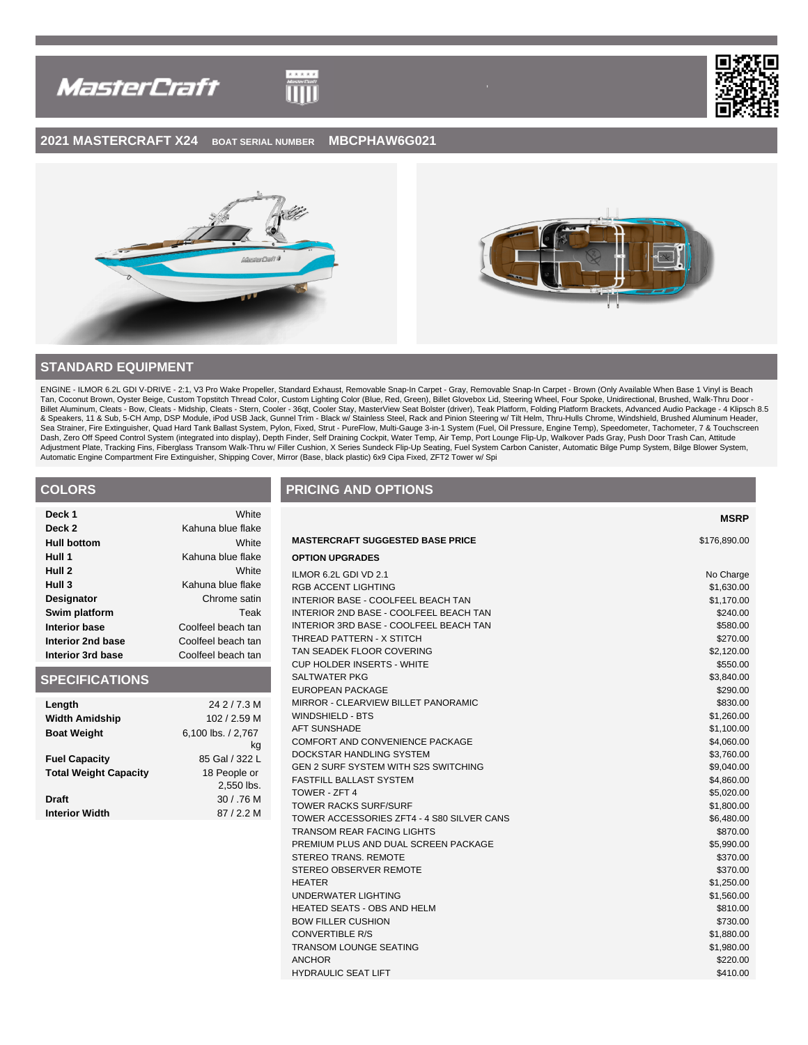



**MSRP**

## **2021 MASTERCRAFT X24 BOAT SERIAL NUMBER MBCPHAW6G021**

 $\begin{tabular}{c} \multicolumn{2}{c}{\textbf{111}} \\ \multicolumn{2}{c}{\textbf{222}} \\ \multicolumn{2}{c}{\textbf{233}} \\ \multicolumn{2}{c}{\textbf{243}} \\ \multicolumn{2}{c}{\textbf{253}} \\ \multicolumn{2}{c}{\textbf{263}} \\ \multicolumn{2}{c}{\textbf{27}} \\ \multicolumn{2}{c}{\textbf{283}} \\ \multicolumn{2}{c}{\textbf{29}} \\ \multicolumn{2}{c}{\textbf{20}} \\ \multicolumn{2}{c}{\textbf{21}} \\ \multicolumn{2}{c}{\textbf{21}} \\ \$ 



# **STANDARD EQUIPMENT**

ENGINE - ILMOR 6.2L GDI V-DRIVE - 2:1, V3 Pro Wake Propeller, Standard Exhaust, Removable Snap-In Carpet - Gray, Removable Snap-In Carpet - Brown (Only Available When Base 1 Vinyl is Beach Tan, Coconut Brown, Oyster Beige, Custom Topstitch Thread Color, Custom Lighting Color (Blue, Red, Green), Billet Glovebox Lid, Steering Wheel, Four Spoke, Unidirectional, Brushed, Walk-Thru Door -<br>Billet Aluminum, Cleats & Speakers, 11 & Sub, 5-CH Amp, DSP Module, iPod USB Jack, Gunnel Trim - Black w/ Stainless Steel, Rack and Pinion Steering w/ Tilt Helm, Thru-Hulls Chrome, Windshield, Brushed Aluminum Header, Sea Strainer, Fire Extinguisher, Quad Hard Tank Ballast System, Pylon, Fixed, Strut - PureFlow, Multi-Gauge 3-in-1 System (Fuel, Oil Pressure, Engine Temp), Speedometer, Tachometer, 7 & Touchscreen<br>Dash, Zero Off Speed Con

# **COLORS**

| Deck 1               | White              |
|----------------------|--------------------|
| Deck 2               | Kahuna blue flake  |
| <b>Hull bottom</b>   | White              |
| Hull 1               | Kahuna blue flake  |
| Hull 2               | White              |
| Hull 3               | Kahuna blue flake  |
| Designator           | Chrome satin       |
| Swim platform        | Teak               |
| <b>Interior base</b> | Coolfeel beach tan |
| Interior 2nd base    | Coolfeel beach tan |
| Interior 3rd base    | Coolfeel beach tan |

## **SPECIFICATIONS**

| Length                       | 24 2 / 7.3 M       |
|------------------------------|--------------------|
| <b>Width Amidship</b>        | 102 / 2.59 M       |
| <b>Boat Weight</b>           | 6,100 lbs. / 2,767 |
|                              | kg                 |
| <b>Fuel Capacity</b>         | 85 Gal / 322 L     |
| <b>Total Weight Capacity</b> | 18 People or       |
|                              | 2,550 lbs.         |
| <b>Draft</b>                 | 30 / .76 M         |
| <b>Interior Width</b>        | 87/2.2 M           |
|                              |                    |

## **PRICING AND OPTIONS**

| <b>MASTERCRAFT SUGGESTED BASE PRICE</b>    | \$176,890.00 |
|--------------------------------------------|--------------|
| <b>OPTION UPGRADES</b>                     |              |
| ILMOR 6.2L GDI VD 2.1                      | No Charge    |
| RGB ACCENT LIGHTING                        | \$1,630.00   |
| INTERIOR BASE - COOLFEEL BEACH TAN         | \$1,170.00   |
| INTERIOR 2ND BASE - COOLFEEL BEACH TAN     | \$240.00     |
| INTERIOR 3RD BASE - COOLFEEL BEACH TAN     | \$580.00     |
| THREAD PATTERN - X STITCH                  | \$270.00     |
| TAN SEADEK FLOOR COVERING                  | \$2,120.00   |
| <b>CUP HOLDER INSERTS - WHITE</b>          | \$550.00     |
| SALTWATER PKG                              | \$3,840.00   |
| <b>EUROPEAN PACKAGE</b>                    | \$290.00     |
| MIRROR - CLEARVIEW BILLET PANORAMIC        | \$830.00     |
| <b>WINDSHIELD - BTS</b>                    | \$1,260.00   |
| <b>AFT SUNSHADE</b>                        | \$1,100.00   |
| COMFORT AND CONVENIENCE PACKAGE            | \$4,060.00   |
| DOCKSTAR HANDLING SYSTEM                   | \$3,760.00   |
| GEN 2 SURF SYSTEM WITH S2S SWITCHING       | \$9,040.00   |
| <b>FASTFILL BALLAST SYSTEM</b>             | \$4,860.00   |
| TOWER - ZFT 4                              | \$5,020.00   |
| <b>TOWER RACKS SURF/SURF</b>               | \$1,800.00   |
| TOWER ACCESSORIES ZFT4 - 4 S80 SILVER CANS | \$6,480.00   |
| <b>TRANSOM REAR FACING LIGHTS</b>          | \$870.00     |
| PREMIUM PLUS AND DUAL SCREEN PACKAGE       | \$5,990.00   |
| <b>STEREO TRANS, REMOTE</b>                | \$370.00     |
| STEREO OBSERVER REMOTE                     | \$370.00     |
| <b>HEATER</b>                              | \$1,250.00   |
| UNDERWATER LIGHTING                        | \$1,560.00   |
| <b>HEATED SEATS - OBS AND HELM</b>         | \$810.00     |
| <b>BOW FILLER CUSHION</b>                  | \$730.00     |
| <b>CONVERTIBLE R/S</b>                     | \$1,880.00   |
| <b>TRANSOM LOUNGE SEATING</b>              | \$1,980.00   |
| <b>ANCHOR</b>                              | \$220.00     |
| <b>HYDRAULIC SEAT LIFT</b>                 | \$410.00     |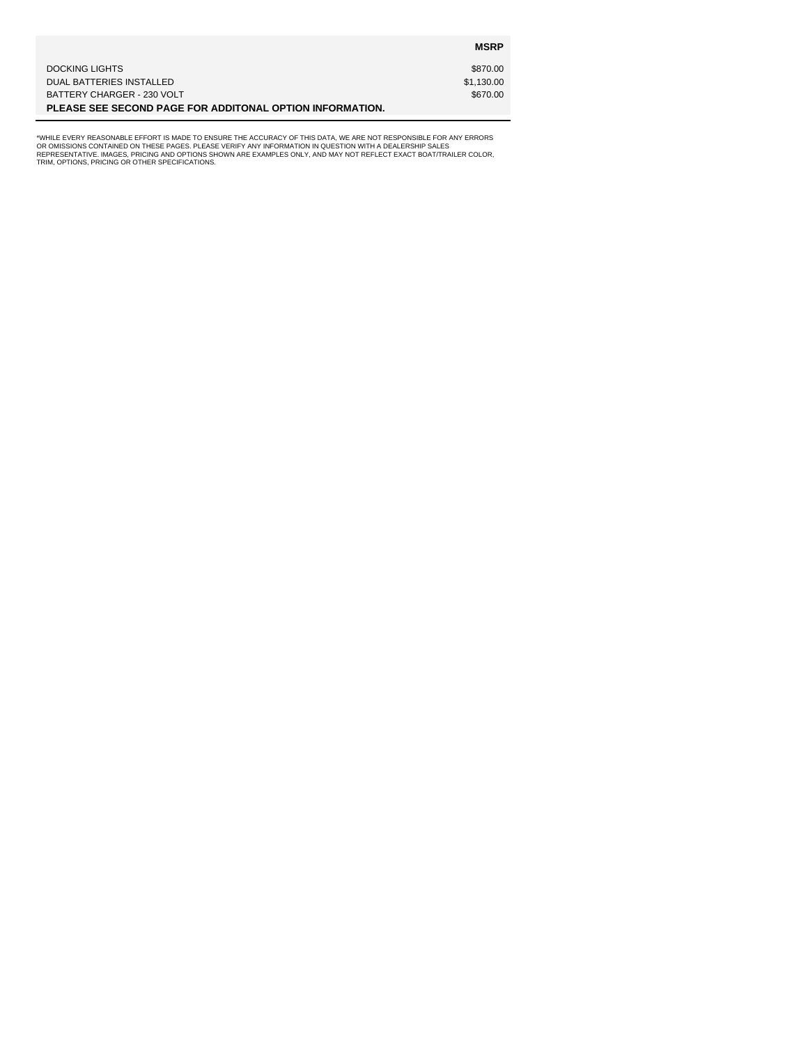|                                                          | <b>MSRP</b> |
|----------------------------------------------------------|-------------|
| DOCKING LIGHTS                                           | \$870.00    |
| DUAL BATTERIES INSTALLED                                 | \$1,130.00  |
| BATTERY CHARGER - 230 VOLT                               | \$670.00    |
| PLEASE SEE SECOND PAGE FOR ADDITONAL OPTION INFORMATION. |             |

"WHILE EVERY REASONABLE EFFORT IS MADE TO ENSURE THE ACCURACY OF THIS DATA, WE ARE NOT RESPONSIBLE FOR ANY ERRORS<br>OR OMISSIONS CONTAINED ON THESE PAGES. PLEASE VERIFY ANY INFORMATION IN QUESTION WITH A DEALERSHIP SALES<br>REP